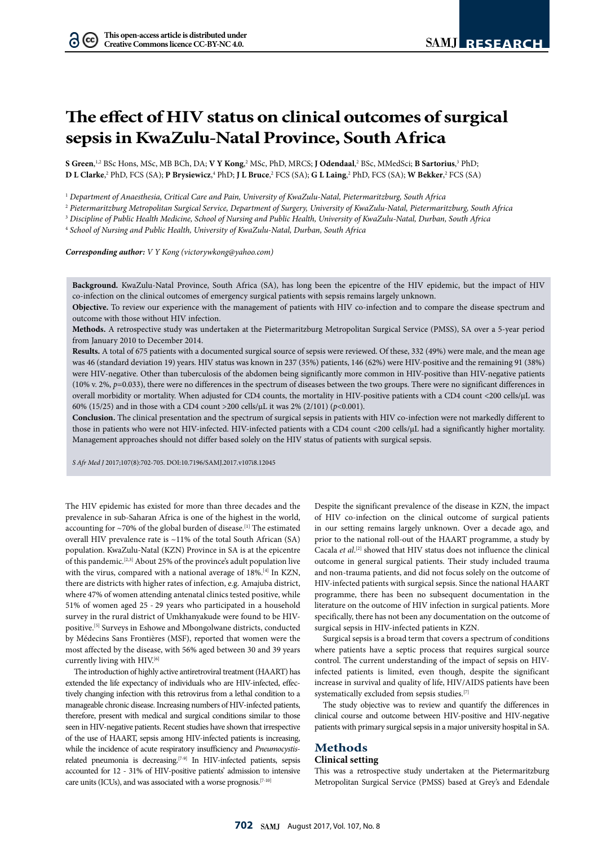$(cc)$ 

# **The effect of HIV status on clinical outcomes of surgical sepsis in KwaZulu-Natal Province, South Africa**

 $S$  Green,<sup>1,2</sup> BSc Hons, MSc, MB BCh, DA; V Y Kong,<sup>2</sup> MSc, PhD, MRCS; J Odendaal,<sup>2</sup> BSc, MMedSci; **B Sartorius**,<sup>3</sup> PhD; **D L Clarke,**<sup>2</sup> PhD, FCS (SA); **P Brysiewicz**,4 PhD; **J L Bruce**,<sup>2</sup> FCS (SA); **G L Laing,**<sup>2</sup> PhD, FCS (SA); **W Bekker,**<sup>2</sup> FCS (SA)

<sup>1</sup> *Department of Anaesthesia, Critical Care and Pain, University of KwaZulu-Natal, Pietermaritzburg, South Africa*

<sup>2</sup> *Pietermaritzburg Metropolitan Surgical Service, Department of Surgery, University of KwaZulu-Natal, Pietermaritzburg, South Africa*

<sup>3</sup> *Discipline of Public Health Medicine, School of Nursing and Public Health, University of KwaZulu-Natal, Durban, South Africa*

<sup>4</sup> *School of Nursing and Public Health, University of KwaZulu-Natal, Durban, South Africa*

*Corresponding author: V Y Kong [\(victorywkong@yahoo.com](mailto:victorywkong@yahoo.com))*

**Background.** KwaZulu-Natal Province, South Africa (SA), has long been the epicentre of the HIV epidemic, but the impact of HIV co-infection on the clinical outcomes of emergency surgical patients with sepsis remains largely unknown.

**Objective.** To review our experience with the management of patients with HIV co-infection and to compare the disease spectrum and outcome with those without HIV infection.

**Methods.** A retrospective study was undertaken at the Pietermaritzburg Metropolitan Surgical Service (PMSS), SA over a 5-year period from January 2010 to December 2014.

**Results.** A total of 675 patients with a documented surgical source of sepsis were reviewed. Of these, 332 (49%) were male, and the mean age was 46 (standard deviation 19) years. HIV status was known in 237 (35%) patients, 146 (62%) were HIV-positive and the remaining 91 (38%) were HIV-negative. Other than tuberculosis of the abdomen being significantly more common in HIV-positive than HIV-negative patients (10% v. 2%, *p*=0.033), there were no differences in the spectrum of diseases between the two groups. There were no significant differences in overall morbidity or mortality. When adjusted for CD4 counts, the mortality in HIV-positive patients with a CD4 count <200 cells/µL was 60% (15/25) and in those with a CD4 count >200 cells/µL it was 2% (2/101) (*p*<0.001).

**Conclusion.** The clinical presentation and the spectrum of surgical sepsis in patients with HIV co-infection were not markedly different to those in patients who were not HIV-infected. HIV-infected patients with a CD4 count <200 cells/µL had a significantly higher mortality. Management approaches should not differ based solely on the HIV status of patients with surgical sepsis.

*S Afr Med J* 2017;107(8):702-705. DOI[:10.7196/SAMJ.](10.7196/SAMJ)2017.v107i8.12045

The HIV epidemic has existed for more than three decades and the prevalence in sub-Saharan Africa is one of the highest in the world, accounting for  $\sim$ 70% of the global burden of disease.<sup>[1]</sup> The estimated overall HIV prevalence rate is ~11% of the total South African (SA) population. KwaZulu-Natal (KZN) Province in SA is at the epicentre of this pandemic.[2,3] About 25% of the province's adult population live with the virus, compared with a national average of 18%.<sup>[4]</sup> In KZN, there are districts with higher rates of infection, e.g. Amajuba district, where 47% of women attending antenatal clinics tested positive, while 51% of women aged 25 - 29 years who participated in a household survey in the rural district of Umkhanyakude were found to be HIVpositive.[5] Surveys in Eshowe and Mbongolwane districts, conducted by Médecins Sans Frontières (MSF), reported that women were the most affected by the disease, with 56% aged between 30 and 39 years currently living with HIV.[6]

The introduction of highly active antiretroviral treatment (HAART) has extended the life expectancy of individuals who are HIV-infected, effectively changing infection with this retrovirus from a lethal condition to a manageable chronic disease. Increasing numbers of HIV-infected patients, therefore, present with medical and surgical conditions similar to those seen in HIV-negative patients. Recent studies have shown that irrespective of the use of HAART, sepsis among HIV-infected patients is increasing, while the incidence of acute respiratory insufficiency and *Pneumocystis*related pneumonia is decreasing.<sup>[7-9]</sup> In HIV-infected patients, sepsis accounted for 12 - 31% of HIV-positive patients' admission to intensive care units (ICUs), and was associated with a worse prognosis.[7-10]

Despite the significant prevalence of the disease in KZN, the impact of HIV co-infection on the clinical outcome of surgical patients in our setting remains largely unknown. Over a decade ago, and prior to the national roll-out of the HAART programme, a study by Cacala et al.<sup>[2]</sup> showed that HIV status does not influence the clinical outcome in general surgical patients. Their study included trauma and non-trauma patients, and did not focus solely on the outcome of HIV-infected patients with surgical sepsis. Since the national HAART programme, there has been no subsequent documentation in the literature on the outcome of HIV infection in surgical patients. More specifically, there has not been any documentation on the outcome of surgical sepsis in HIV-infected patients in KZN.

Surgical sepsis is a broad term that covers a spectrum of conditions where patients have a septic process that requires surgical source control. The current understanding of the impact of sepsis on HIVinfected patients is limited, even though, despite the significant increase in survival and quality of life, HIV/AIDS patients have been systematically excluded from sepsis studies.<sup>[7]</sup>

The study objective was to review and quantify the differences in clinical course and outcome between HIV-positive and HIV-negative patients with primary surgical sepsis in a major university hospital in SA.

# **Methods**

## **Clinical setting**

This was a retrospective study undertaken at the Pietermaritzburg Metropolitan Surgical Service (PMSS) based at Grey's and Edendale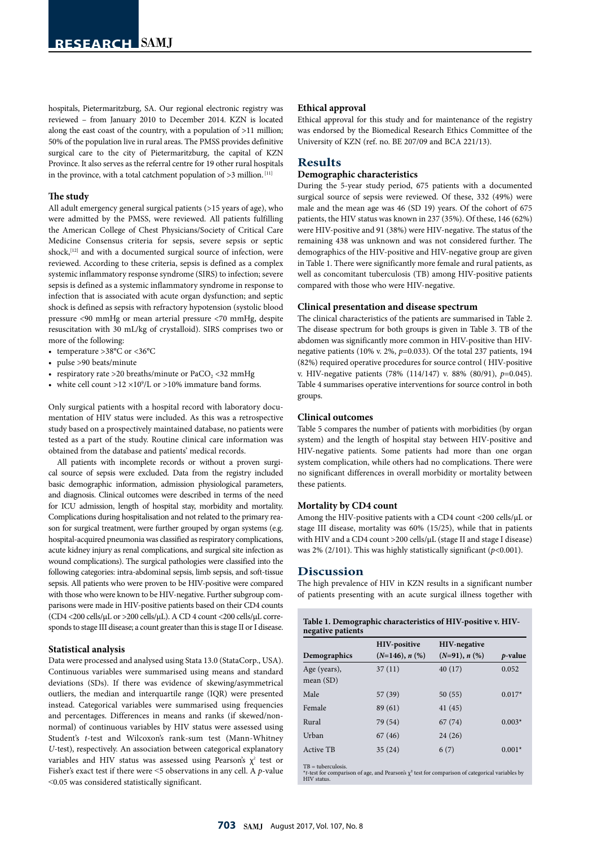hospitals, Pietermaritzburg, SA. Our regional electronic registry was reviewed – from January 2010 to December 2014. KZN is located along the east coast of the country, with a population of >11 million; 50% of the population live in rural areas. The PMSS provides definitive surgical care to the city of Pietermaritzburg, the capital of KZN Province. It also serves as the referral centre for 19 other rural hospitals in the province, with a total catchment population of  $>3$  million. [11]

#### **The study**

All adult emergency general surgical patients (>15 years of age), who were admitted by the PMSS, were reviewed. All patients fulfilling the American College of Chest Physicians/Society of Critical Care Medicine Consensus criteria for sepsis, severe sepsis or septic shock, $[12]$  and with a documented surgical source of infection, were reviewed. According to these criteria, sepsis is defined as a complex systemic inflammatory response syndrome (SIRS) to infection; severe sepsis is defined as a systemic inflammatory syndrome in response to infection that is associated with acute organ dysfunction; and septic shock is defined as sepsis with refractory hypotension (systolic blood pressure <90 mmHg or mean arterial pressure <70 mmHg, despite resuscitation with 30 mL/kg of crystalloid). SIRS comprises two or more of the following:

- temperature >38°C or <36°C
- pulse >90 beats/minute
- respiratory rate > 20 breaths/minute or  $PaCO$ , < 32 mmHg
- white cell count >12  $\times$ 10<sup>9</sup>/L or >10% immature band forms.

Only surgical patients with a hospital record with laboratory documentation of HIV status were included. As this was a retrospective study based on a prospectively maintained database, no patients were tested as a part of the study. Routine clinical care information was obtained from the database and patients' medical records.

All patients with incomplete records or without a proven surgical source of sepsis were excluded. Data from the registry included basic demographic information, admission physiological parameters, and diagnosis. Clinical outcomes were described in terms of the need for ICU admission, length of hospital stay, morbidity and mortality. Complications during hospitalisation and not related to the primary reason for surgical treatment, were further grouped by organ systems (e.g. hospital-acquired pneumonia was classified as respiratory complications, acute kidney injury as renal complications, and surgical site infection as wound complications). The surgical pathologies were classified into the following categories: intra-abdominal sepsis, limb sepsis, and soft-tissue sepsis. All patients who were proven to be HIV-positive were compared with those who were known to be HIV-negative. Further subgroup comparisons were made in HIV-positive patients based on their CD4 counts (CD4 <200 cells/μL or >200 cells/μL). A CD 4 count <200 cells/μL corresponds to stage III disease; a count greater than this is stage II or I disease.

#### **Statistical analysis**

Data were processed and analysed using Stata 13.0 (StataCorp., USA). Continuous variables were summarised using means and standard deviations (SDs). If there was evidence of skewing/asymmetrical outliers, the median and interquartile range (IQR) were presented instead. Categorical variables were summarised using frequencies and percentages. Differences in means and ranks (if skewed/nonnormal) of continuous variables by HIV status were assessed using Student's *t*-test and Wilcoxon's rank-sum test (Mann-Whitney *U*-test), respectively. An association between categorical explanatory variables and HIV status was assessed using Pearson's  $\chi^2$  test or Fisher's exact test if there were ˂5 observations in any cell. A *p*-value ˂0.05 was considered statistically significant.

#### **Ethical approval**

Ethical approval for this study and for maintenance of the registry was endorsed by the Biomedical Research Ethics Committee of the University of KZN (ref. no. BE 207/09 and BCA 221/13).

# **Results**

## **Demographic characteristics**

During the 5-year study period, 675 patients with a documented surgical source of sepsis were reviewed. Of these, 332 (49%) were male and the mean age was 46 (SD 19) years. Of the cohort of 675 patients, the HIV status was known in 237 (35%). Of these, 146 (62%) were HIV-positive and 91 (38%) were HIV-negative. The status of the remaining 438 was unknown and was not considered further. The demographics of the HIV-positive and HIV-negative group are given in Table 1. There were significantly more female and rural patients, as well as concomitant tuberculosis (TB) among HIV-positive patients compared with those who were HIV-negative.

### **Clinical presentation and disease spectrum**

The clinical characteristics of the patients are summarised in Table 2. The disease spectrum for both groups is given in Table 3. TB of the abdomen was significantly more common in HIV-positive than HIVnegative patients (10% v. 2%, *p*=0.033). Of the total 237 patients, 194 (82%) required operative procedures for source control ( HIV-positive v. HIV-negative patients (78% (114/147) v. 88% (80/91), *p*=0.045). Table 4 summarises operative interventions for source control in both groups.

### **Clinical outcomes**

Table 5 compares the number of patients with morbidities (by organ system) and the length of hospital stay between HIV-positive and HIV-negative patients. Some patients had more than one organ system complication, while others had no complications. There were no significant differences in overall morbidity or mortality between these patients.

#### **Mortality by CD4 count**

Among the HIV-positive patients with a CD4 count <200 cells/ $\mu$ L or stage III disease, mortality was 60% (15/25), while that in patients with HIV and a CD4 count >200 cells/µL (stage II and stage I disease) was 2% (2/101). This was highly statistically significant (*p*<0.001).

## **Discussion**

The high prevalence of HIV in KZN results in a significant number of patients presenting with an acute surgical illness together with

| Table 1. Demographic characteristics of HIV-positive v. HIV- |  |
|--------------------------------------------------------------|--|
| negative patients                                            |  |

|                             | <b>HIV-positive</b>  | <b>HIV-negative</b> |                 |
|-----------------------------|----------------------|---------------------|-----------------|
| Demographics                | $(N=146)$ , n $(\%)$ | $(N=91), n (%)$     | <i>p</i> -value |
| Age (years),<br>mean $(SD)$ | 37(11)               | 40(17)              | 0.052           |
| Male                        | 57 (39)              | 50(55)              | $0.017*$        |
| Female                      | 89 (61)              | 41(45)              |                 |
| Rural                       | 79 (54)              | 67(74)              | $0.003*$        |
| Urban                       | 67 (46)              | 24(26)              |                 |
| <b>Active TB</b>            | 35(24)               | 6(7)                | $0.001*$        |

 $TB = tuberculosis$ 

 $*$ *t*-test for comparison of age, and Pearson's  $\chi^2$  test for comparison of categorical variables by HIV status.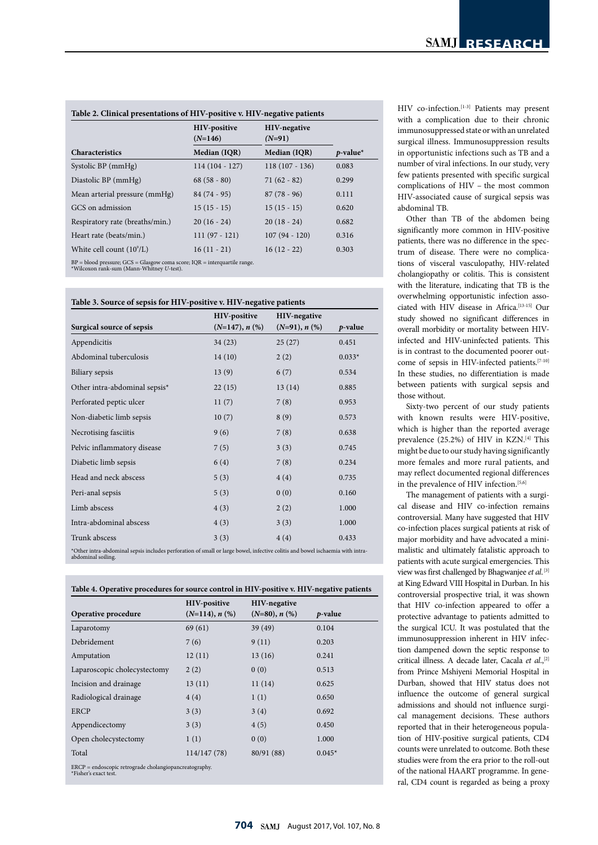| Table 2. Clinical presentations of HIV-positive v. HIV-negative patients                                                      |                                  |                                 |             |
|-------------------------------------------------------------------------------------------------------------------------------|----------------------------------|---------------------------------|-------------|
|                                                                                                                               | <b>HIV-positive</b><br>$(N=146)$ | <b>HIV-negative</b><br>$(N=91)$ |             |
| <b>Characteristics</b>                                                                                                        | Median (IQR)                     | Median (IQR)                    | $p$ -value* |
| Systolic BP (mmHg)                                                                                                            | $114(104 - 127)$                 | $118(107 - 136)$                | 0.083       |
| Diastolic BP (mmHg)                                                                                                           | $68(58-80)$                      | $71(62-82)$                     | 0.299       |
| Mean arterial pressure (mmHg)                                                                                                 | $84(74-95)$                      | $87(78-96)$                     | 0.111       |
| GCS on admission                                                                                                              | $15(15-15)$                      | $15(15-15)$                     | 0.620       |
| Respiratory rate (breaths/min.)                                                                                               | $20(16-24)$                      | $20(18-24)$                     | 0.682       |
| Heart rate (beats/min.)                                                                                                       | $111(97 - 121)$                  | $107(94 - 120)$                 | 0.316       |
| White cell count $(109/L)$                                                                                                    | $16(11 - 21)$                    | $16(12 - 22)$                   | 0.303       |
| $BP = blood pressure$ ; $GCS = Glasgow$ coma score; $IQR = interquartile$ range.<br>*Wilcoxon rank-sum (Mann-Whitney U-test). |                                  |                                 |             |

**Table 3. Source of sepsis for HIV-positive v. HIV-negative patients** 

|                               | HIV-positive     | <b>HIV-negative</b> |            |
|-------------------------------|------------------|---------------------|------------|
| Surgical source of sepsis     | $(N=147), n$ (%) | $(N=91), n$ (%)     | $p$ -value |
| Appendicitis                  | 34(23)           | 25(27)              | 0.451      |
| Abdominal tuberculosis        | 14(10)           | 2(2)                | $0.033*$   |
| Biliary sepsis                | 13(9)            | 6(7)                | 0.534      |
| Other intra-abdominal sepsis* | 22(15)           | 13(14)              | 0.885      |
| Perforated peptic ulcer       | 11(7)            | 7(8)                | 0.953      |
| Non-diabetic limb sepsis      | 10(7)            | 8(9)                | 0.573      |
| Necrotising fasciitis         | 9(6)             | 7(8)                | 0.638      |
| Pelvic inflammatory disease   | 7(5)             | 3(3)                | 0.745      |
| Diabetic limb sepsis          | 6(4)             | 7(8)                | 0.234      |
| Head and neck abscess         | 5(3)             | 4(4)                | 0.735      |
| Peri-anal sepsis              | 5(3)             | 0(0)                | 0.160      |
| Limb abscess                  | 4(3)             | 2(2)                | 1.000      |
| Intra-abdominal abscess       | 4(3)             | 3(3)                | 1.000      |
| Trunk abscess                 | 3(3)             | 4(4)                | 0.433      |
|                               |                  |                     |            |

\*Other intra-abdominal sepsis includes perforation of small or large bowel, infective colitis and bowel ischaemia with intra-abdominal soiling.

**Table 4. Operative procedures for source control in HIV-positive v. HIV-negative patients** 

|                                                                                   | <b>HIV-positive</b>  | <b>HIV-negative</b> |                 |
|-----------------------------------------------------------------------------------|----------------------|---------------------|-----------------|
| Operative procedure                                                               | $(N=114)$ , n $(\%)$ | $(N=80), n$ (%)     | <i>p</i> -value |
| Laparotomy                                                                        | 69 (61)              | 39 (49)             | 0.104           |
| Debridement                                                                       | 7(6)                 | 9(11)               | 0.203           |
| Amputation                                                                        | 12(11)               | 13(16)              | 0.241           |
| Laparoscopic cholecystectomy                                                      | 2(2)                 | 0(0)                | 0.513           |
| Incision and drainage                                                             | 13(11)               | 11(14)              | 0.625           |
| Radiological drainage                                                             | 4(4)                 | 1(1)                | 0.650           |
| <b>ERCP</b>                                                                       | 3(3)                 | 3(4)                | 0.692           |
| Appendicectomy                                                                    | 3(3)                 | 4(5)                | 0.450           |
| Open cholecystectomy                                                              | 1(1)                 | 0(0)                | 1.000           |
| Total                                                                             | 114/147 (78)         | 80/91 (88)          | $0.045*$        |
| $ERCP = endoscopic$ retrograde cholangiopancreatography.<br>*Fisher's exact test. |                      |                     |                 |

HIV co-infection.<sup>[1-3]</sup> Patients may present with a complication due to their chronic immunosuppressed state or with an unrelated surgical illness. Immunosuppression results in opportunistic infections such as TB and a number of viral infections. In our study, very few patients presented with specific surgical complications of HIV – the most common HIV-associated cause of surgical sepsis was abdominal TB.

Other than TB of the abdomen being significantly more common in HIV-positive patients, there was no difference in the spectrum of disease. There were no complications of visceral vasculopathy, HIV-related cholangiopathy or colitis. This is consistent with the literature, indicating that TB is the overwhelming opportunistic infection associated with HIV disease in Africa.[13-15] Our study showed no significant differences in overall morbidity or mortality between HIVinfected and HIV-uninfected patients. This is in contrast to the documented poorer outcome of sepsis in HIV-infected patients.[7-10] In these studies, no differentiation is made between patients with surgical sepsis and those without.

Sixty-two percent of our study patients with known results were HIV-positive, which is higher than the reported average prevalence (25.2%) of HIV in KZN.[4] This might be due to our study having significantly more females and more rural patients, and may reflect documented regional differences in the prevalence of HIV infection.<sup>[5,6]</sup>

The management of patients with a surgical disease and HIV co-infection remains controversial. Many have suggested that HIV co-infection places surgical patients at risk of major morbidity and have advocated a minimalistic and ultimately fatalistic approach to patients with acute surgical emergencies. This view was first challenged by Bhagwanjee *et al*. [3] at King Edward VIII Hospital in Durban. In his controversial prospective trial, it was shown that HIV co-infection appeared to offer a protective advantage to patients admitted to the surgical ICU. It was postulated that the immunosuppression inherent in HIV infection dampened down the septic response to critical illness. A decade later, Cacala et al.,<sup>[2]</sup> from Prince Mshiyeni Memorial Hospital in Durban, showed that HIV status does not influence the outcome of general surgical admissions and should not influence surgical management decisions. These authors reported that in their heterogeneous population of HIV-positive surgical patients, CD4 counts were unrelated to outcome. Both these studies were from the era prior to the roll-out of the national HAART programme. In general, CD4 count is regarded as being a proxy